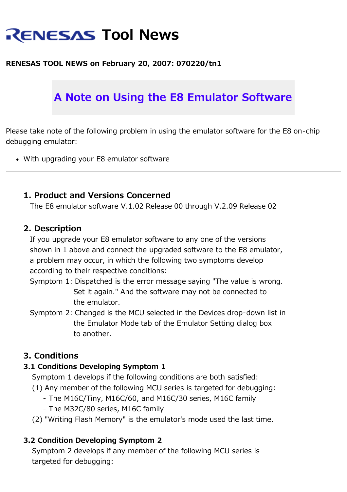# **RENESAS Tool News**

### **RENESAS TOOL NEWS on February 20, 2007: 070220/tn1**

# **A Note on Using the E8 Emulator Software**

Please take note of the following problem in using the emulator software for the E8 on-chip debugging emulator:

With upgrading your E8 emulator software

#### **1. Product and Versions Concerned**

The E8 emulator software V.1.02 Release 00 through V.2.09 Release 02

#### **2. Description**

 If you upgrade your E8 emulator software to any one of the versions shown in 1 above and connect the upgraded software to the E8 emulator, a problem may occur, in which the following two symptoms develop according to their respective conditions:

- Symptom 1: Dispatched is the error message saying "The value is wrong. Set it again." And the software may not be connected to the emulator.
- Symptom 2: Changed is the MCU selected in the Devices drop-down list in the Emulator Mode tab of the Emulator Setting dialog box to another.

#### **3. Conditions**

#### **3.1 Conditions Developing Symptom 1**

Symptom 1 develops if the following conditions are both satisfied:

- (1) Any member of the following MCU series is targeted for debugging:
	- The M16C/Tiny, M16C/60, and M16C/30 series, M16C family
	- The M32C/80 series, M16C family
- (2) "Writing Flash Memory" is the emulator's mode used the last time.

#### **3.2 Condition Developing Symptom 2**

 Symptom 2 develops if any member of the following MCU series is targeted for debugging: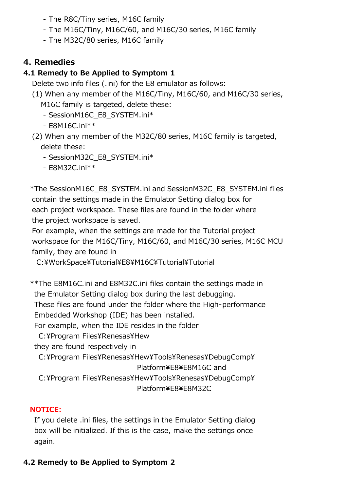- The R8C/Tiny series, M16C family
- The M16C/Tiny, M16C/60, and M16C/30 series, M16C family
- The M32C/80 series, M16C family

# 4. Remedies

# 4.1 Remedy to Be Applied to Symptom 1

Delete two info files (.ini) for the E8 emulator as follows:

- (1) When any member of the M16C/Tiny, M16C/60, and M16C/30 series, M16C family is targeted, delete these:
	- SessionM16C E8 SYSTEM.ini\*
	- $-$  F8M16C.ini\*\*
- (2) When any member of the M32C/80 series, M16C family is targeted, delete these:
	- SessionM32C E8 SYSTEM.ini\*
	- E8M32C.ini\*\*

\*The SessionM16C E8 SYSTEM.ini and SessionM32C E8 SYSTEM.ini files contain the settings made in the Emulator Setting dialog box for each project workspace. These files are found in the folder where the project workspace is saved.

For example, when the settings are made for the Tutorial project workspace for the M16C/Tiny, M16C/60, and M16C/30 series, M16C MCU family, they are found in

C:¥WorkSpace¥Tutorial¥E8¥M16C¥Tutorial¥Tutorial

\*\*The E8M16C.ini and E8M32C.ini files contain the settings made in the Emulator Setting dialog box during the last debugging.

These files are found under the folder where the High-performance Embedded Workshop (IDE) has been installed.

For example, when the IDE resides in the folder

C:¥Program Files¥Renesas¥Hew

they are found respectively in

C:¥Program Files¥Renesas¥Hew¥Tools¥Renesas¥DebugComp¥ Platform¥E8¥E8M16C and

C:¥Program Files¥Renesas¥Hew¥Tools¥Renesas¥DebugComp¥

Platform¥F8¥F8M32C

# **NOTICE:**

If you delete .ini files, the settings in the Emulator Setting dialog box will be initialized. If this is the case, make the settings once again.

# 4.2 Remedy to Be Applied to Symptom 2